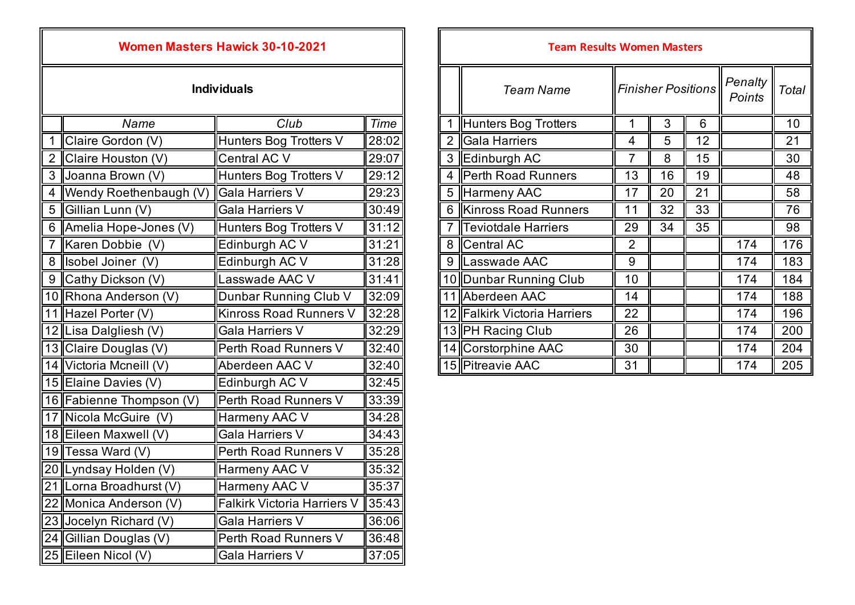| <b>PLGI ƏI ILA WILIN OV-IV</b> |                               |                                    |             |  |  |
|--------------------------------|-------------------------------|------------------------------------|-------------|--|--|
|                                | <b>Individuals</b>            |                                    |             |  |  |
|                                | Name                          | Club                               | <b>Time</b> |  |  |
| $\mathbf 1$                    | Claire Gordon (V)             | Hunters Bog Trotters V             | 28:02       |  |  |
|                                | 2 Claire Houston (V)          | Central AC V                       | 29:07       |  |  |
| 3                              | Joanna Brown (V)              | Hunters Bog Trotters V             | 29:12       |  |  |
| 4                              | Wendy Roethenbaugh (V)        | <b>Gala Harriers V</b>             | 29:23       |  |  |
|                                | 5 Gillian Lunn (V)            | Gala Harriers V                    | 30:49       |  |  |
|                                | 6   Amelia Hope-Jones (V)     | Hunters Bog Trotters V             | 31:12       |  |  |
| $\overline{7}$                 | Karen Dobbie (V)              | Edinburgh AC V                     | 31:21       |  |  |
|                                | 8 <b>  </b> Isobel Joiner (V) | Edinburgh AC V                     | 31:28       |  |  |
|                                | 9 Cathy Dickson (V)           | Lasswade AAC V                     | 31:41       |  |  |
|                                | 10 Rhona Anderson (V)         | Dunbar Running Club V              | 32:09       |  |  |
|                                | 11 Hazel Porter (V)           | <b>Kinross Road Runners V</b>      | 32:28       |  |  |
|                                | 12 Lisa Dalgliesh (V)         | Gala Harriers V                    | 32:29       |  |  |
|                                | 13 Claire Douglas (V)         | Perth Road Runners V               | 32:40       |  |  |
|                                | 14 Victoria Mcneill (V)       | Aberdeen AAC V                     | 32:40       |  |  |
|                                | 15 Elaine Davies (V)          | Edinburgh AC V                     | 32:45       |  |  |
|                                | 16 Fabienne Thompson (V)      | Perth Road Runners V               | 33:39       |  |  |
|                                | 17 Nicola McGuire (V)         | Harmeny AAC V                      | 34:28       |  |  |
|                                | 18 Eileen Maxwell (V)         | Gala Harriers V                    | 34:43       |  |  |
|                                | 19 Tessa Ward (V)             | Perth Road Runners V               | 35:28       |  |  |
|                                | 20 Lyndsay Holden (V)         | Harmeny AAC V                      | 35:32       |  |  |
|                                | 21 Lorna Broadhurst (V)       | Harmeny AAC V                      | 35:37       |  |  |
|                                | 22 Monica Anderson (V)        | <b>Falkirk Victoria Harriers V</b> | 35:43       |  |  |
|                                | 23 Jocelyn Richard (V)        | Gala Harriers V                    | 36:06       |  |  |
|                                | 24 Gillian Douglas (V)        | Perth Road Runners V               | 36:48       |  |  |
|                                | 25 Eileen Nicol (V)           | Gala Harriers V                    | 37:05       |  |  |

## *Team Name Penalty*  **Individuals** *Finisher PositionsPoints Total Name* 1 **Hunters Bog Trotters** 1 **1** 3 6 **6** 10 2 Gala Harriers **1 4 5 12 21** 3 Edinburgh AC 7 8 15 30 4 Perth Road Runners 13 16 19 5 Harmeny AAC 17 20 21 58 6 Kinross Road Runners  $\begin{array}{|c|c|c|c|c|c|c|c|c|} \hline \text{6} & \text{Kirross Road Runners} & 11 & 32 & 33 & \text{76} \ \hline \end{array}$ 7 Teviotdale Harriers 29 34 35 98 7 ||Karen Dobbie (V) ||Edinburgh AC V ||31:21|| || 8 ||Central AC || 2 || || || 174 || 176 9 Lasswade AAC 9 19 174 183 10 Dunbar Running Club 10 10 174 184 11 Aberdeen AAC 14 **124 174 188** 12 Falkirk Victoria Harriers | 22 | 174 174 196 13 PH Racing Club 26 174 200 14 Corstorphine AAC 30 1 174 204 15 Pitreavie AAC 31 | 174 205 **Women Masters Hawick 30-10-2021 Team Results Women Masters**